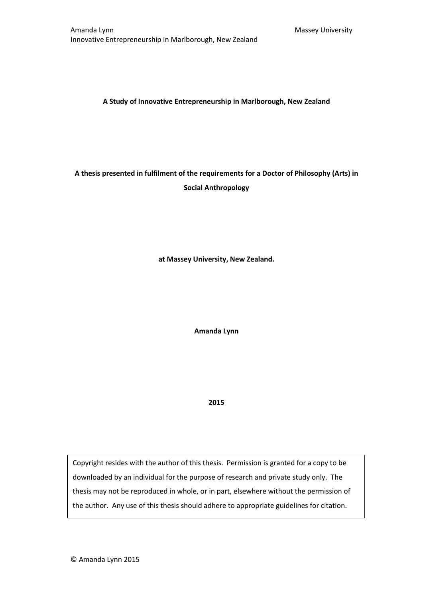## **A Study of Innovative Entrepreneurship in Marlborough, New Zealand**

# **A thesis presented in fulfilment of the requirements for a Doctor of Philosophy (Arts) in Social Anthropology**

**at Massey University, New Zealand.**

**Amanda Lynn**

**2015**

Copyright resides with the author of this thesis. Permission is granted for a copy to be downloaded by an individual for the purpose of research and private study only. The thesis may not be reproduced in whole, or in part, elsewhere without the permission of the author. Any use of this thesis should adhere to appropriate guidelines for citation.

© Amanda Lynn 2015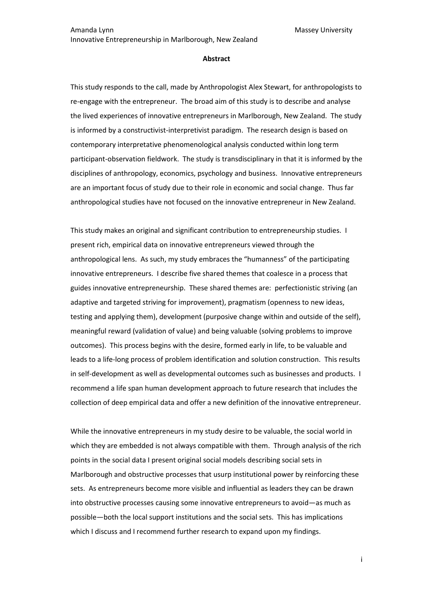#### **Abstract**

This study responds to the call, made by Anthropologist Alex Stewart, for anthropologists to re-engage with the entrepreneur. The broad aim of this study is to describe and analyse the lived experiences of innovative entrepreneurs in Marlborough, New Zealand. The study is informed by a constructivist-interpretivist paradigm. The research design is based on contemporary interpretative phenomenological analysis conducted within long term participant-observation fieldwork. The study is transdisciplinary in that it is informed by the disciplines of anthropology, economics, psychology and business. Innovative entrepreneurs are an important focus of study due to their role in economic and social change. Thus far anthropological studies have not focused on the innovative entrepreneur in New Zealand.

This study makes an original and significant contribution to entrepreneurship studies. I present rich, empirical data on innovative entrepreneurs viewed through the anthropological lens. As such, my study embraces the "humanness" of the participating innovative entrepreneurs. I describe five shared themes that coalesce in a process that guides innovative entrepreneurship. These shared themes are: perfectionistic striving (an adaptive and targeted striving for improvement), pragmatism (openness to new ideas, testing and applying them), development (purposive change within and outside of the self), meaningful reward (validation of value) and being valuable (solving problems to improve outcomes). This process begins with the desire, formed early in life, to be valuable and leads to a life-long process of problem identification and solution construction. This results in self-development as well as developmental outcomes such as businesses and products. I recommend a life span human development approach to future research that includes the collection of deep empirical data and offer a new definition of the innovative entrepreneur.

While the innovative entrepreneurs in my study desire to be valuable, the social world in which they are embedded is not always compatible with them. Through analysis of the rich points in the social data I present original social models describing social sets in Marlborough and obstructive processes that usurp institutional power by reinforcing these sets. As entrepreneurs become more visible and influential as leaders they can be drawn into obstructive processes causing some innovative entrepreneurs to avoid—as much as possible—both the local support institutions and the social sets. This has implications which I discuss and I recommend further research to expand upon my findings.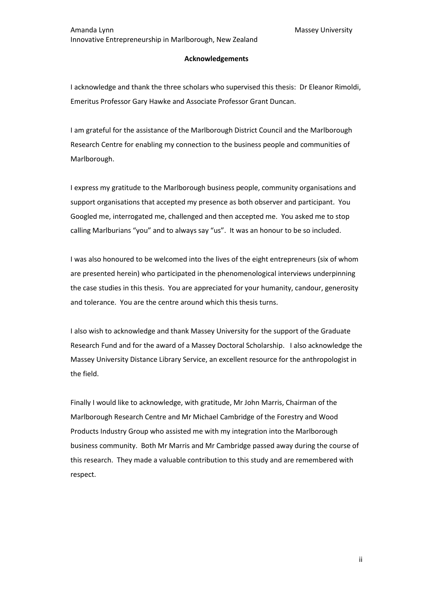### **Acknowledgements**

I acknowledge and thank the three scholars who supervised this thesis: Dr Eleanor Rimoldi, Emeritus Professor Gary Hawke and Associate Professor Grant Duncan.

I am grateful for the assistance of the Marlborough District Council and the Marlborough Research Centre for enabling my connection to the business people and communities of Marlborough.

I express my gratitude to the Marlborough business people, community organisations and support organisations that accepted my presence as both observer and participant. You Googled me, interrogated me, challenged and then accepted me. You asked me to stop calling Marlburians "you" and to always say "us". It was an honour to be so included.

I was also honoured to be welcomed into the lives of the eight entrepreneurs (six of whom are presented herein) who participated in the phenomenological interviews underpinning the case studies in this thesis. You are appreciated for your humanity, candour, generosity and tolerance. You are the centre around which this thesis turns.

I also wish to acknowledge and thank Massey University for the support of the Graduate Research Fund and for the award of a Massey Doctoral Scholarship. I also acknowledge the Massey University Distance Library Service, an excellent resource for the anthropologist in the field.

Finally I would like to acknowledge, with gratitude, Mr John Marris, Chairman of the Marlborough Research Centre and Mr Michael Cambridge of the Forestry and Wood Products Industry Group who assisted me with my integration into the Marlborough business community. Both Mr Marris and Mr Cambridge passed away during the course of this research. They made a valuable contribution to this study and are remembered with respect.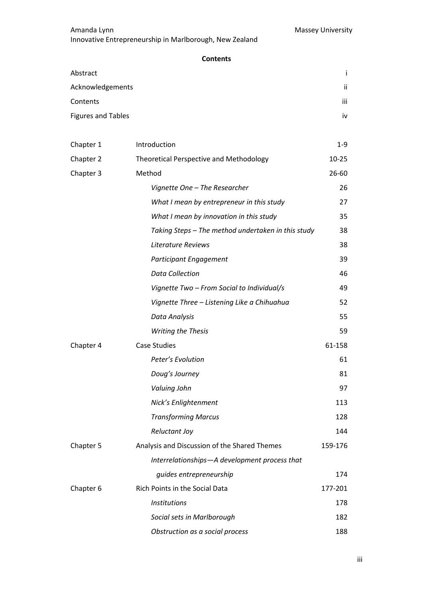Amanda Lynn Massey University Innovative Entrepreneurship in Marlborough, New Zealand

## **Contents**

| ii  |
|-----|
| iii |
| iv  |
|     |

| Chapter 1 | Introduction                                       | $1 - 9$   |
|-----------|----------------------------------------------------|-----------|
| Chapter 2 | Theoretical Perspective and Methodology            | $10 - 25$ |
| Chapter 3 | Method                                             | 26-60     |
|           | Vignette One - The Researcher                      | 26        |
|           | What I mean by entrepreneur in this study          | 27        |
|           | What I mean by innovation in this study            | 35        |
|           | Taking Steps - The method undertaken in this study | 38        |
|           | <b>Literature Reviews</b>                          | 38        |
|           | Participant Engagement                             | 39        |
|           | <b>Data Collection</b>                             | 46        |
|           | Vignette Two - From Social to Individual/s         | 49        |
|           | Vignette Three - Listening Like a Chihuahua        | 52        |
|           | Data Analysis                                      | 55        |
|           | Writing the Thesis                                 | 59        |
| Chapter 4 | <b>Case Studies</b>                                | 61-158    |
|           | Peter's Evolution                                  | 61        |
|           | Doug's Journey                                     | 81        |
|           | Valuing John                                       | 97        |
|           | Nick's Enlightenment                               | 113       |
|           | <b>Transforming Marcus</b>                         | 128       |
|           | <b>Reluctant Joy</b>                               | 144       |
| Chapter 5 | Analysis and Discussion of the Shared Themes       | 159-176   |
|           | Interrelationships-A development process that      |           |
|           | quides entrepreneurship                            | 174       |
| Chapter 6 | Rich Points in the Social Data                     | 177-201   |
|           | <b>Institutions</b>                                | 178       |
|           | Social sets in Marlborough                         | 182       |
|           | Obstruction as a social process                    | 188       |